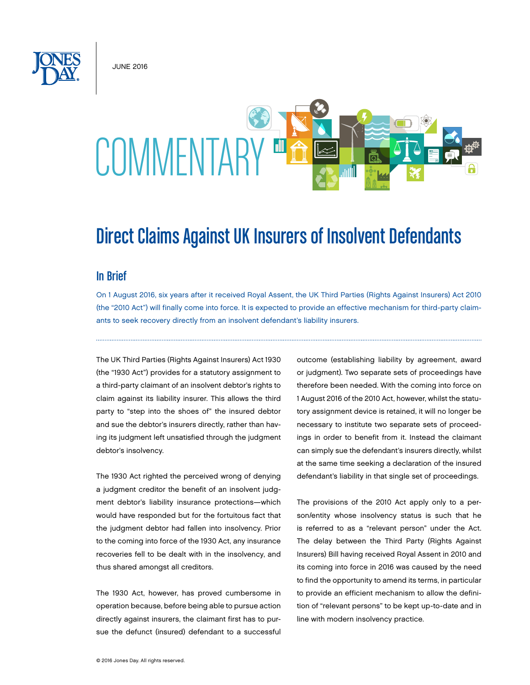June 2016



# Direct Claims Against UK Insurers of Insolvent Defendants

#### In Brief

On 1 August 2016, six years after it received Royal Assent, the UK Third Parties (Rights Against Insurers) Act 2010 (the "2010 Act") will finally come into force. It is expected to provide an effective mechanism for third-party claimants to seek recovery directly from an insolvent defendant's liability insurers.

The UK Third Parties (Rights Against Insurers) Act 1930 (the "1930 Act") provides for a statutory assignment to a third-party claimant of an insolvent debtor's rights to claim against its liability insurer. This allows the third party to "step into the shoes of" the insured debtor and sue the debtor's insurers directly, rather than having its judgment left unsatisfied through the judgment debtor's insolvency.

The 1930 Act righted the perceived wrong of denying a judgment creditor the benefit of an insolvent judgment debtor's liability insurance protections—which would have responded but for the fortuitous fact that the judgment debtor had fallen into insolvency. Prior to the coming into force of the 1930 Act, any insurance recoveries fell to be dealt with in the insolvency, and thus shared amongst all creditors.

The 1930 Act, however, has proved cumbersome in operation because, before being able to pursue action directly against insurers, the claimant first has to pursue the defunct (insured) defendant to a successful outcome (establishing liability by agreement, award or judgment). Two separate sets of proceedings have therefore been needed. With the coming into force on 1 August 2016 of the 2010 Act, however, whilst the statutory assignment device is retained, it will no longer be necessary to institute two separate sets of proceedings in order to benefit from it. Instead the claimant can simply sue the defendant's insurers directly, whilst at the same time seeking a declaration of the insured defendant's liability in that single set of proceedings.

The provisions of the 2010 Act apply only to a person/entity whose insolvency status is such that he is referred to as a "relevant person" under the Act. The delay between the Third Party (Rights Against Insurers) Bill having received Royal Assent in 2010 and its coming into force in 2016 was caused by the need to find the opportunity to amend its terms, in particular to provide an efficient mechanism to allow the definition of "relevant persons" to be kept up-to-date and in line with modern insolvency practice.